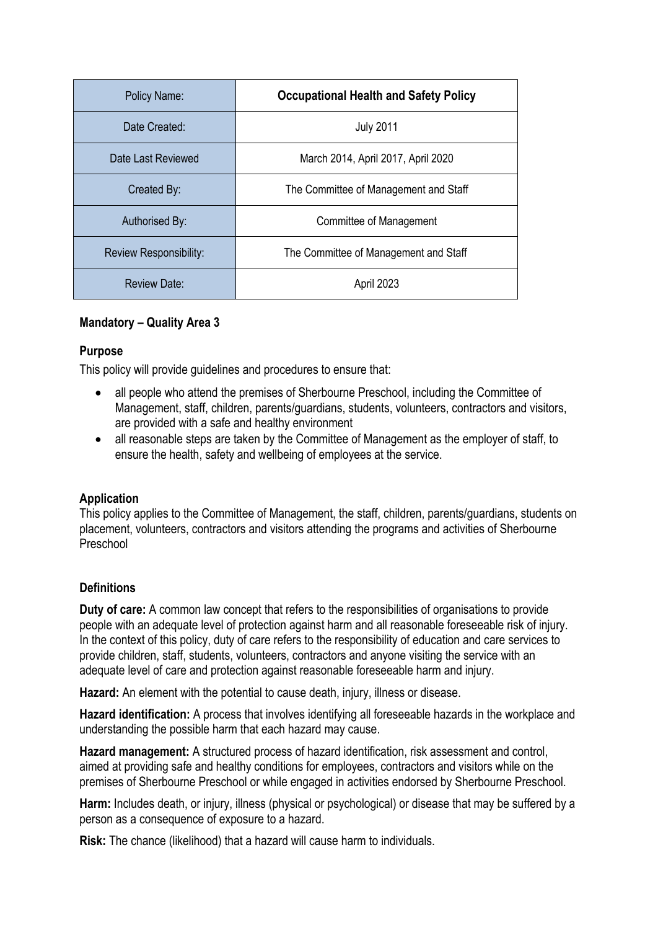| Policy Name:           | <b>Occupational Health and Safety Policy</b> |
|------------------------|----------------------------------------------|
| Date Created:          | <b>July 2011</b>                             |
| Date Last Reviewed     | March 2014, April 2017, April 2020           |
| Created By:            | The Committee of Management and Staff        |
| Authorised By:         | Committee of Management                      |
| Review Responsibility: | The Committee of Management and Staff        |
| Review Date:           | April 2023                                   |

## **Mandatory – Quality Area 3**

## **Purpose**

This policy will provide guidelines and procedures to ensure that:

- all people who attend the premises of Sherbourne Preschool, including the Committee of Management, staff, children, parents/guardians, students, volunteers, contractors and visitors, are provided with a safe and healthy environment
- all reasonable steps are taken by the Committee of Management as the employer of staff, to ensure the health, safety and wellbeing of employees at the service.

#### **Application**

This policy applies to the Committee of Management, the staff, children, parents/guardians, students on placement, volunteers, contractors and visitors attending the programs and activities of Sherbourne Preschool

# **Definitions**

**Duty of care:** A common law concept that refers to the responsibilities of organisations to provide people with an adequate level of protection against harm and all reasonable foreseeable risk of injury. In the context of this policy, duty of care refers to the responsibility of education and care services to provide children, staff, students, volunteers, contractors and anyone visiting the service with an adequate level of care and protection against reasonable foreseeable harm and injury.

**Hazard:** An element with the potential to cause death, injury, illness or disease.

**Hazard identification:** A process that involves identifying all foreseeable hazards in the workplace and understanding the possible harm that each hazard may cause.

**Hazard management:** A structured process of hazard identification, risk assessment and control, aimed at providing safe and healthy conditions for employees, contractors and visitors while on the premises of Sherbourne Preschool or while engaged in activities endorsed by Sherbourne Preschool.

**Harm:** Includes death, or injury, illness (physical or psychological) or disease that may be suffered by a person as a consequence of exposure to a hazard.

**Risk:** The chance (likelihood) that a hazard will cause harm to individuals.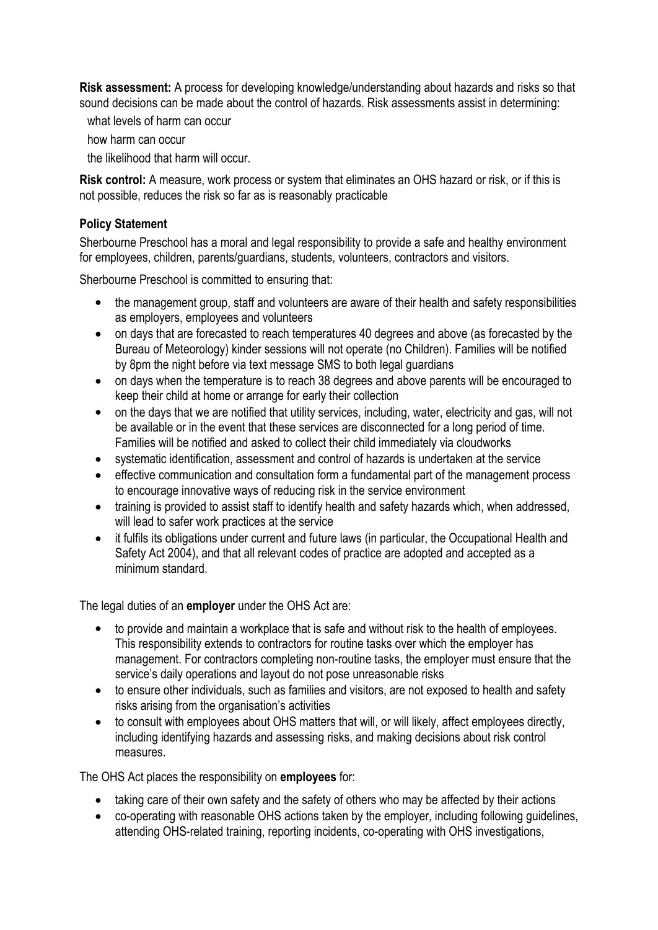**Risk assessment:** A process for developing knowledge/understanding about hazards and risks so that sound decisions can be made about the control of hazards. Risk assessments assist in determining:

what levels of harm can occur

how harm can occur

the likelihood that harm will occur.

**Risk control:** A measure, work process or system that eliminates an OHS hazard or risk, or if this is not possible, reduces the risk so far as is reasonably practicable

#### **Policy Statement**

Sherbourne Preschool has a moral and legal responsibility to provide a safe and healthy environment for employees, children, parents/guardians, students, volunteers, contractors and visitors.

Sherbourne Preschool is committed to ensuring that:

- the management group, staff and volunteers are aware of their health and safety responsibilities as employers, employees and volunteers
- on days that are forecasted to reach temperatures 40 degrees and above (as forecasted by the Bureau of Meteorology) kinder sessions will not operate (no Children). Families will be notified by 8pm the night before via text message SMS to both legal guardians
- on days when the temperature is to reach 38 degrees and above parents will be encouraged to keep their child at home or arrange for early their collection
- on the days that we are notified that utility services, including, water, electricity and gas, will not be available or in the event that these services are disconnected for a long period of time. Families will be notified and asked to collect their child immediately via cloudworks
- systematic identification, assessment and control of hazards is undertaken at the service
- effective communication and consultation form a fundamental part of the management process to encourage innovative ways of reducing risk in the service environment
- training is provided to assist staff to identify health and safety hazards which, when addressed, will lead to safer work practices at the service
- it fulfils its obligations under current and future laws (in particular, the Occupational Health and Safety Act 2004), and that all relevant codes of practice are adopted and accepted as a minimum standard.

The legal duties of an **employer** under the OHS Act are:

- to provide and maintain a workplace that is safe and without risk to the health of employees. This responsibility extends to contractors for routine tasks over which the employer has management. For contractors completing non-routine tasks, the employer must ensure that the service's daily operations and layout do not pose unreasonable risks
- to ensure other individuals, such as families and visitors, are not exposed to health and safety risks arising from the organisation's activities
- to consult with employees about OHS matters that will, or will likely, affect employees directly, including identifying hazards and assessing risks, and making decisions about risk control measures.

The OHS Act places the responsibility on **employees** for:

- taking care of their own safety and the safety of others who may be affected by their actions
- co-operating with reasonable OHS actions taken by the employer, including following guidelines, attending OHS-related training, reporting incidents, co-operating with OHS investigations,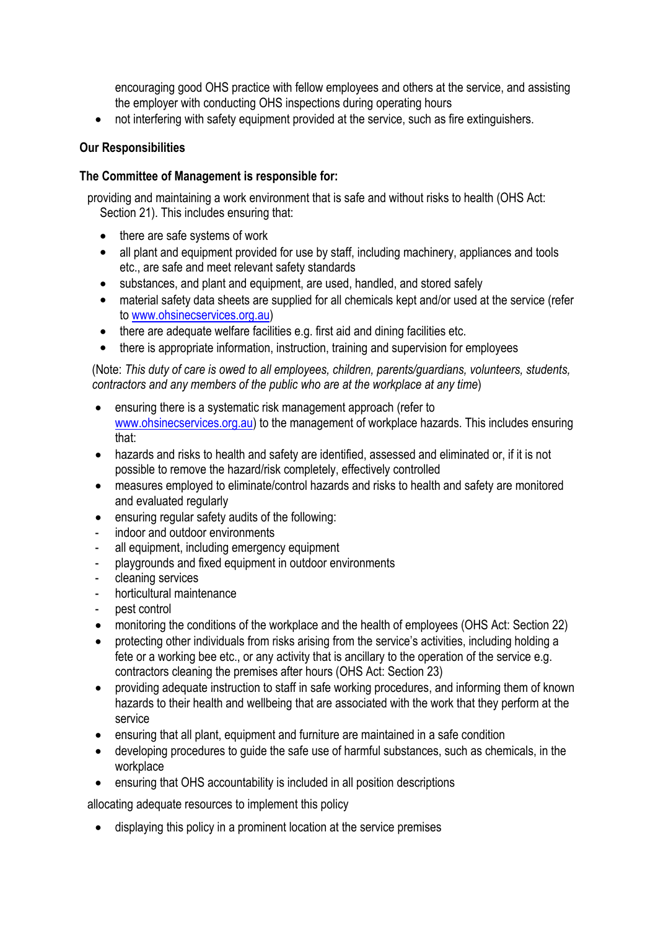encouraging good OHS practice with fellow employees and others at the service, and assisting the employer with conducting OHS inspections during operating hours

not interfering with safety equipment provided at the service, such as fire extinguishers.

## **Our Responsibilities**

### **The Committee of Management is responsible for:**

providing and maintaining a work environment that is safe and without risks to health (OHS Act: Section 21). This includes ensuring that:

- there are safe systems of work
- all plant and equipment provided for use by staff, including machinery, appliances and tools etc., are safe and meet relevant safety standards
- substances, and plant and equipment, are used, handled, and stored safely
- material safety data sheets are supplied for all chemicals kept and/or used at the service (refer to www.ohsinecservices.org.au)
- there are adequate welfare facilities e.g. first aid and dining facilities etc.
- there is appropriate information, instruction, training and supervision for employees

(Note: *This duty of care is owed to all employees, children, parents/guardians, volunteers, students, contractors and any members of the public who are at the workplace at any time*)

- ensuring there is a systematic risk management approach (refer to [www.ohsinecservices.org.au\)](http://www.ohsinecservices.org.au) to the management of workplace hazards. This includes ensuring that:
- hazards and risks to health and safety are identified, assessed and eliminated or, if it is not possible to remove the hazard/risk completely, effectively controlled
- measures employed to eliminate/control hazards and risks to health and safety are monitored and evaluated regularly
- ensuring regular safety audits of the following:
- indoor and outdoor environments
- all equipment, including emergency equipment
- playgrounds and fixed equipment in outdoor environments
- cleaning services
- horticultural maintenance
- pest control
- monitoring the conditions of the workplace and the health of employees (OHS Act: Section 22)
- protecting other individuals from risks arising from the service's activities, including holding a fete or a working bee etc., or any activity that is ancillary to the operation of the service e.g. contractors cleaning the premises after hours (OHS Act: Section 23)
- providing adequate instruction to staff in safe working procedures, and informing them of known hazards to their health and wellbeing that are associated with the work that they perform at the service
- ensuring that all plant, equipment and furniture are maintained in a safe condition
- developing procedures to guide the safe use of harmful substances, such as chemicals, in the workplace
- ensuring that OHS accountability is included in all position descriptions

allocating adequate resources to implement this policy

displaying this policy in a prominent location at the service premises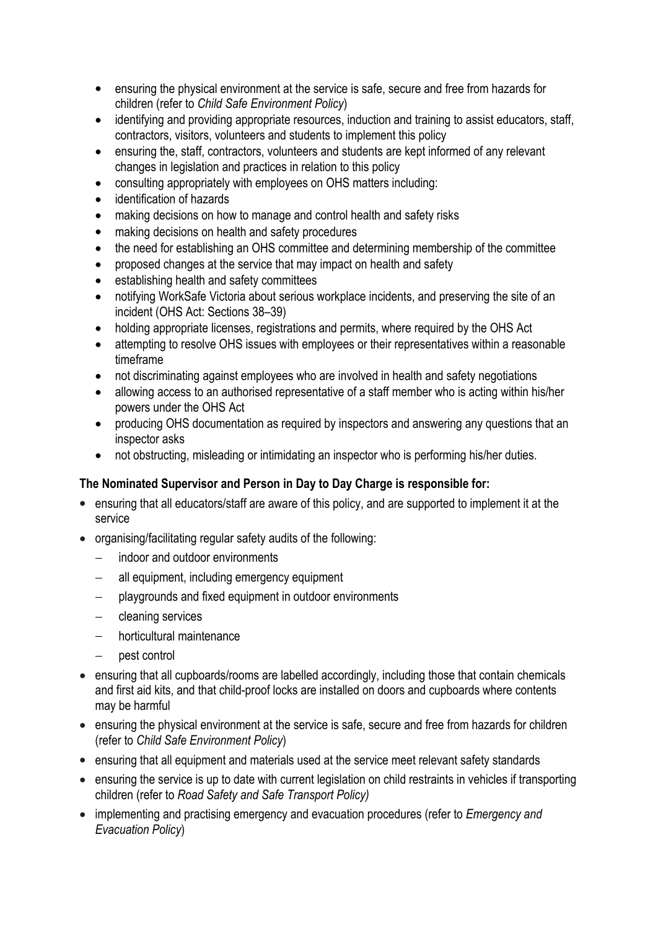- ensuring the physical environment at the service is safe, secure and free from hazards for children (refer to *Child Safe Environment Policy*)
- identifying and providing appropriate resources, induction and training to assist educators, staff, contractors, visitors, volunteers and students to implement this policy
- ensuring the, staff, contractors, volunteers and students are kept informed of any relevant changes in legislation and practices in relation to this policy
- consulting appropriately with employees on OHS matters including:
- identification of hazards
- making decisions on how to manage and control health and safety risks
- making decisions on health and safety procedures
- the need for establishing an OHS committee and determining membership of the committee
- proposed changes at the service that may impact on health and safety
- establishing health and safety committees
- notifying WorkSafe Victoria about serious workplace incidents, and preserving the site of an incident (OHS Act: Sections 38–39)
- holding appropriate licenses, registrations and permits, where required by the OHS Act
- attempting to resolve OHS issues with employees or their representatives within a reasonable timeframe
- not discriminating against employees who are involved in health and safety negotiations
- allowing access to an authorised representative of a staff member who is acting within his/her powers under the OHS Act
- producing OHS documentation as required by inspectors and answering any questions that an inspector asks
- not obstructing, misleading or intimidating an inspector who is performing his/her duties.

#### **The Nominated Supervisor and Person in Day to Day Charge is responsible for:**

- ensuring that all educators/staff are aware of this policy, and are supported to implement it at the service
- organising/facilitating regular safety audits of the following:
	- indoor and outdoor environments
	- all equipment, including emergency equipment
	- playgrounds and fixed equipment in outdoor environments
	- cleaning services
	- horticultural maintenance
	- pest control
- ensuring that all cupboards/rooms are labelled accordingly, including those that contain chemicals and first aid kits, and that child-proof locks are installed on doors and cupboards where contents may be harmful
- ensuring the physical environment at the service is safe, secure and free from hazards for children (refer to *Child Safe Environment Policy*)
- ensuring that all equipment and materials used at the service meet relevant safety standards
- ensuring the service is up to date with current legislation on child restraints in vehicles if transporting children (refer to *Road Safety and Safe Transport Policy)*
- implementing and practising emergency and evacuation procedures (refer to *Emergency and Evacuation Policy*)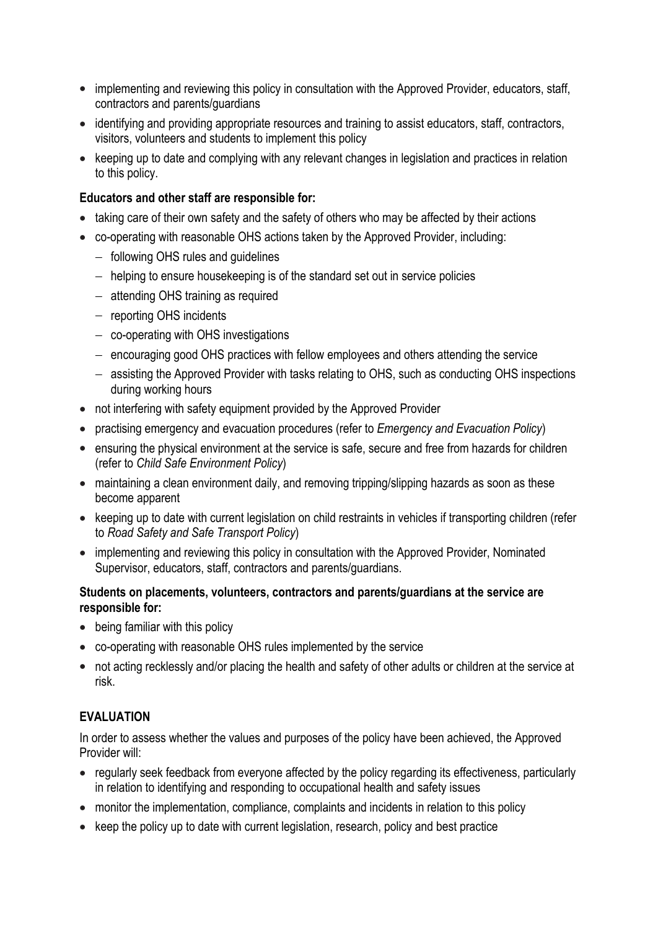- implementing and reviewing this policy in consultation with the Approved Provider, educators, staff, contractors and parents/guardians
- identifying and providing appropriate resources and training to assist educators, staff, contractors, visitors, volunteers and students to implement this policy
- keeping up to date and complying with any relevant changes in legislation and practices in relation to this policy.

### **Educators and other staff are responsible for:**

- taking care of their own safety and the safety of others who may be affected by their actions
- co-operating with reasonable OHS actions taken by the Approved Provider, including:
	- following OHS rules and quidelines
	- helping to ensure housekeeping is of the standard set out in service policies
	- attending OHS training as required
	- $-$  reporting OHS incidents
	- co-operating with OHS investigations
	- $-$  encouraging good OHS practices with fellow employees and others attending the service
	- assisting the Approved Provider with tasks relating to OHS, such as conducting OHS inspections during working hours
- not interfering with safety equipment provided by the Approved Provider
- practising emergency and evacuation procedures (refer to *Emergency and Evacuation Policy*)
- ensuring the physical environment at the service is safe, secure and free from hazards for children (refer to *Child Safe Environment Policy*)
- maintaining a clean environment daily, and removing tripping/slipping hazards as soon as these become apparent
- keeping up to date with current legislation on child restraints in vehicles if transporting children (refer to *Road Safety and Safe Transport Policy*)
- implementing and reviewing this policy in consultation with the Approved Provider, Nominated Supervisor, educators, staff, contractors and parents/guardians.

#### **Students on placements, volunteers, contractors and parents/guardians at the service are responsible for:**

- being familiar with this policy
- co-operating with reasonable OHS rules implemented by the service
- not acting recklessly and/or placing the health and safety of other adults or children at the service at risk.

# **EVALUATION**

In order to assess whether the values and purposes of the policy have been achieved, the Approved Provider will:

- regularly seek feedback from everyone affected by the policy regarding its effectiveness, particularly in relation to identifying and responding to occupational health and safety issues
- monitor the implementation, compliance, complaints and incidents in relation to this policy
- keep the policy up to date with current legislation, research, policy and best practice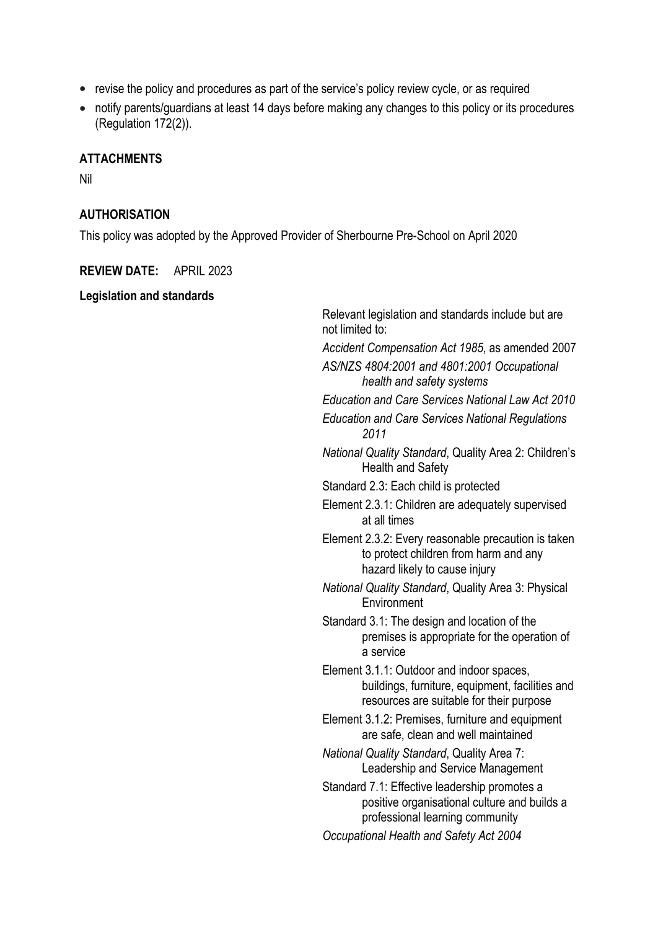- revise the policy and procedures as part of the service's policy review cycle, or as required
- notify parents/guardians at least 14 days before making any changes to this policy or its procedures (Regulation 172(2)).

#### **ATTACHMENTS**

Nil

#### **AUTHORISATION**

This policy was adopted by the Approved Provider of Sherbourne Pre-School on April 2020

#### **REVIEW DATE:** APRIL 2023

#### **Legislation and standards**

Relevant legislation and standards include but are not limited to: *Accident Compensation Act 1985*, as amended 2007 *AS/NZS 4804:2001 and 4801:2001 Occupational health and safety systems Education and Care Services National Law Act 2010 Education and Care Services National Regulations 2011 National Quality Standard*, Quality Area 2: Children's Health and Safety Standard 2.3: Each child is protected Element 2.3.1: Children are adequately supervised at all times Element 2.3.2: Every reasonable precaution is taken to protect children from harm and any hazard likely to cause injury *National Quality Standard*, Quality Area 3: Physical **Environment** Standard 3.1: The design and location of the premises is appropriate for the operation of a service Element 3.1.1: Outdoor and indoor spaces, buildings, furniture, equipment, facilities and resources are suitable for their purpose Element 3.1.2: Premises, furniture and equipment are safe, clean and well maintained *National Quality Standard*, Quality Area 7: Leadership and Service Management Standard 7.1: Effective leadership promotes a positive organisational culture and builds a professional learning community *Occupational Health and Safety Act 2004*